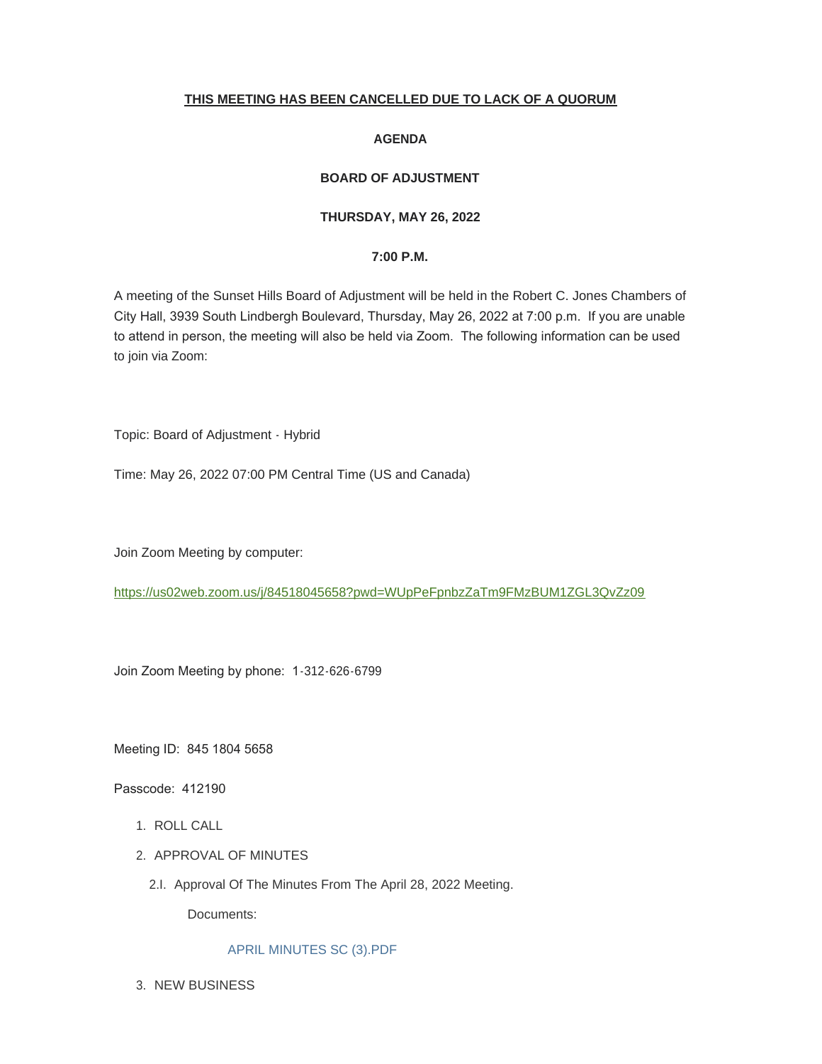# **THIS MEETING HAS BEEN CANCELLED DUE TO LACK OF A QUORUM**

## **AGENDA**

# **BOARD OF ADJUSTMENT**

## **THURSDAY, MAY 26, 2022**

### **7:00 P.M.**

A meeting of the Sunset Hills Board of Adjustment will be held in the Robert C. Jones Chambers of City Hall, 3939 South Lindbergh Boulevard, Thursday, May 26, 2022 at 7:00 p.m. If you are unable to attend in person, the meeting will also be held via Zoom. The following information can be used to join via Zoom:

Topic: Board of Adjustment - Hybrid

Time: May 26, 2022 07:00 PM Central Time (US and Canada)

Join Zoom Meeting by computer:

<https://us02web.zoom.us/j/84518045658?pwd=WUpPeFpnbzZaTm9FMzBUM1ZGL3QvZz09>

Join Zoom Meeting by phone: 1-312-626-6799

Meeting ID: 845 1804 5658

Passcode: 412190

- 1. ROLL CALL
- 2. APPROVAL OF MINUTES
	- 2.I. Approval Of The Minutes From The April 28, 2022 Meeting.

Documents:

# [APRIL MINUTES SC \(3\).PDF](https://www.sunset-hills.com/AgendaCenter/ViewFile/Item/4368?fileID=29796)

3. NEW BUSINESS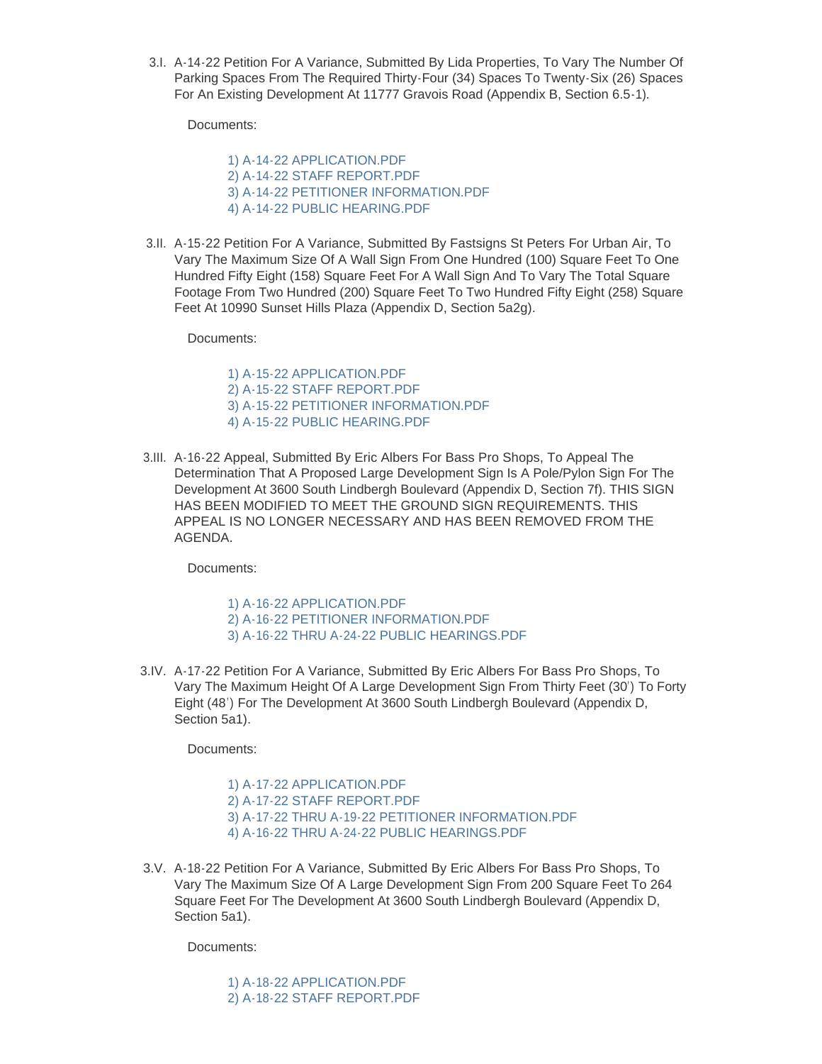A-14-22 Petition For A Variance, Submitted By Lida Properties, To Vary The Number Of 3.I. Parking Spaces From The Required Thirty-Four (34) Spaces To Twenty-Six (26) Spaces For An Existing Development At 11777 Gravois Road (Appendix B, Section 6.5-1).

Documents:

[1\) A-14-22 APPLICATION.PDF](https://www.sunset-hills.com/AgendaCenter/ViewFile/Item/4369?fileID=29797) [2\) A-14-22 STAFF REPORT.PDF](https://www.sunset-hills.com/AgendaCenter/ViewFile/Item/4369?fileID=29798) [3\) A-14-22 PETITIONER INFORMATION.PDF](https://www.sunset-hills.com/AgendaCenter/ViewFile/Item/4369?fileID=29799) [4\) A-14-22 PUBLIC HEARING.PDF](https://www.sunset-hills.com/AgendaCenter/ViewFile/Item/4369?fileID=29800)

3.II. A-15-22 Petition For A Variance, Submitted By Fastsigns St Peters For Urban Air, To Vary The Maximum Size Of A Wall Sign From One Hundred (100) Square Feet To One Hundred Fifty Eight (158) Square Feet For A Wall Sign And To Vary The Total Square Footage From Two Hundred (200) Square Feet To Two Hundred Fifty Eight (258) Square Feet At 10990 Sunset Hills Plaza (Appendix D, Section 5a2g).

Documents:

[1\) A-15-22 APPLICATION.PDF](https://www.sunset-hills.com/AgendaCenter/ViewFile/Item/4370?fileID=29801) [2\) A-15-22 STAFF REPORT.PDF](https://www.sunset-hills.com/AgendaCenter/ViewFile/Item/4370?fileID=29802) [3\) A-15-22 PETITIONER INFORMATION.PDF](https://www.sunset-hills.com/AgendaCenter/ViewFile/Item/4370?fileID=29803) [4\) A-15-22 PUBLIC HEARING.PDF](https://www.sunset-hills.com/AgendaCenter/ViewFile/Item/4370?fileID=29804)

3.III. A-16-22 Appeal, Submitted By Eric Albers For Bass Pro Shops, To Appeal The Determination That A Proposed Large Development Sign Is A Pole/Pylon Sign For The Development At 3600 South Lindbergh Boulevard (Appendix D, Section 7f). THIS SIGN HAS BEEN MODIFIED TO MEET THE GROUND SIGN REQUIREMENTS. THIS APPEAL IS NO LONGER NECESSARY AND HAS BEEN REMOVED FROM THE AGENDA.

Documents:

[1\) A-16-22 APPLICATION.PDF](https://www.sunset-hills.com/AgendaCenter/ViewFile/Item/4371?fileID=29805) [2\) A-16-22 PETITIONER INFORMATION.PDF](https://www.sunset-hills.com/AgendaCenter/ViewFile/Item/4371?fileID=29806) [3\) A-16-22 THRU A-24-22 PUBLIC HEARINGS.PDF](https://www.sunset-hills.com/AgendaCenter/ViewFile/Item/4371?fileID=29807)

3.IV. A-17-22 Petition For A Variance, Submitted By Eric Albers For Bass Pro Shops, To Vary The Maximum Height Of A Large Development Sign From Thirty Feet (30') To Forty Eight (48') For The Development At 3600 South Lindbergh Boulevard (Appendix D, Section 5a1).

Documents:

[1\) A-17-22 APPLICATION.PDF](https://www.sunset-hills.com/AgendaCenter/ViewFile/Item/4372?fileID=29808) [2\) A-17-22 STAFF REPORT.PDF](https://www.sunset-hills.com/AgendaCenter/ViewFile/Item/4372?fileID=29809) [3\) A-17-22 THRU A-19-22 PETITIONER INFORMATION.PDF](https://www.sunset-hills.com/AgendaCenter/ViewFile/Item/4372?fileID=29810) [4\) A-16-22 THRU A-24-22 PUBLIC HEARINGS.PDF](https://www.sunset-hills.com/AgendaCenter/ViewFile/Item/4372?fileID=29811)

3.V. A-18-22 Petition For A Variance, Submitted By Eric Albers For Bass Pro Shops, To Vary The Maximum Size Of A Large Development Sign From 200 Square Feet To 264 Square Feet For The Development At 3600 South Lindbergh Boulevard (Appendix D, Section 5a1).

Documents:

[1\) A-18-22 APPLICATION.PDF](https://www.sunset-hills.com/AgendaCenter/ViewFile/Item/4373?fileID=29812) [2\) A-18-22 STAFF REPORT.PDF](https://www.sunset-hills.com/AgendaCenter/ViewFile/Item/4373?fileID=29813)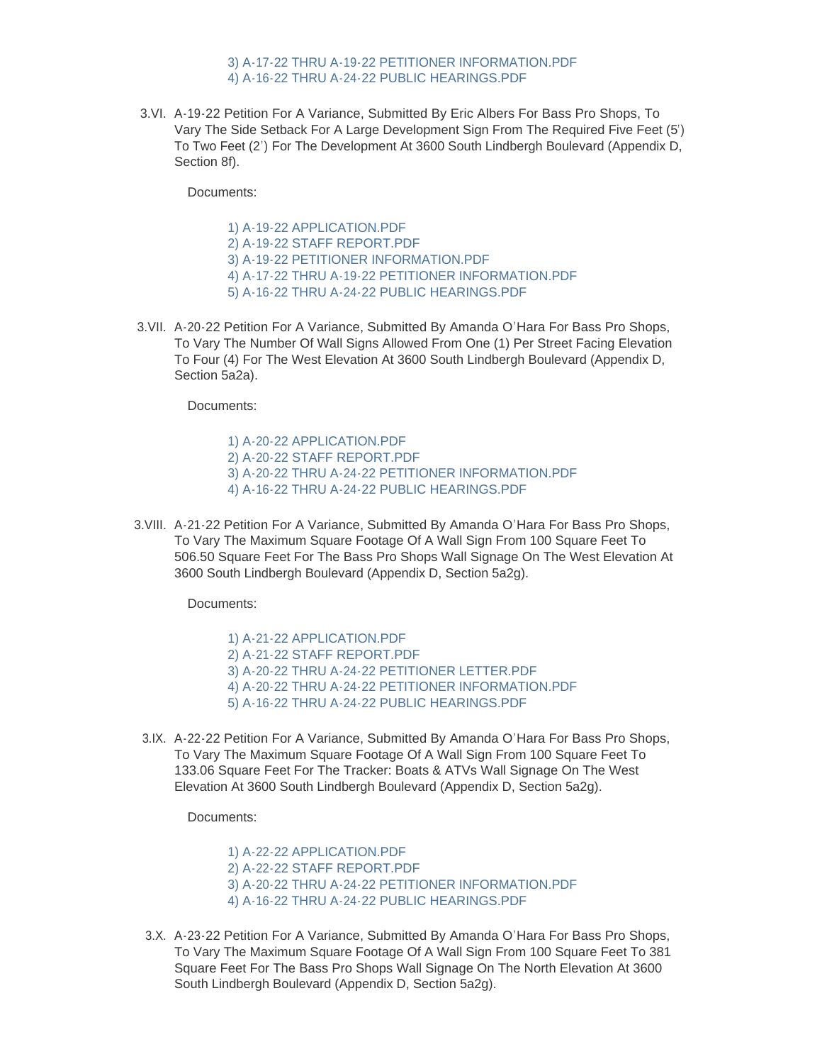### [3\) A-17-22 THRU A-19-22 PETITIONER INFORMATION.PDF](https://www.sunset-hills.com/AgendaCenter/ViewFile/Item/4373?fileID=29814) [4\) A-16-22 THRU A-24-22 PUBLIC HEARINGS.PDF](https://www.sunset-hills.com/AgendaCenter/ViewFile/Item/4373?fileID=29815)

3.VI. A-19-22 Petition For A Variance, Submitted By Eric Albers For Bass Pro Shops, To Vary The Side Setback For A Large Development Sign From The Required Five Feet (5') To Two Feet (2') For The Development At 3600 South Lindbergh Boulevard (Appendix D, Section 8f).

Documents:

[1\) A-19-22 APPLICATION.PDF](https://www.sunset-hills.com/AgendaCenter/ViewFile/Item/4374?fileID=29816) [2\) A-19-22 STAFF REPORT.PDF](https://www.sunset-hills.com/AgendaCenter/ViewFile/Item/4374?fileID=29817) [3\) A-19-22 PETITIONER INFORMATION.PDF](https://www.sunset-hills.com/AgendaCenter/ViewFile/Item/4374?fileID=29818) [4\) A-17-22 THRU A-19-22 PETITIONER INFORMATION.PDF](https://www.sunset-hills.com/AgendaCenter/ViewFile/Item/4374?fileID=29819) [5\) A-16-22 THRU A-24-22 PUBLIC HEARINGS.PDF](https://www.sunset-hills.com/AgendaCenter/ViewFile/Item/4374?fileID=29820)

3.VII. A-20-22 Petition For A Variance, Submitted By Amanda O'Hara For Bass Pro Shops, To Vary The Number Of Wall Signs Allowed From One (1) Per Street Facing Elevation To Four (4) For The West Elevation At 3600 South Lindbergh Boulevard (Appendix D, Section 5a2a).

Documents:

[1\) A-20-22 APPLICATION.PDF](https://www.sunset-hills.com/AgendaCenter/ViewFile/Item/4375?fileID=29821) [2\) A-20-22 STAFF REPORT.PDF](https://www.sunset-hills.com/AgendaCenter/ViewFile/Item/4375?fileID=29822) [3\) A-20-22 THRU A-24-22 PETITIONER INFORMATION.PDF](https://www.sunset-hills.com/AgendaCenter/ViewFile/Item/4375?fileID=29823) [4\) A-16-22 THRU A-24-22 PUBLIC HEARINGS.PDF](https://www.sunset-hills.com/AgendaCenter/ViewFile/Item/4375?fileID=29824)

3.VIII. A-21-22 Petition For A Variance, Submitted By Amanda O'Hara For Bass Pro Shops, To Vary The Maximum Square Footage Of A Wall Sign From 100 Square Feet To 506.50 Square Feet For The Bass Pro Shops Wall Signage On The West Elevation At 3600 South Lindbergh Boulevard (Appendix D, Section 5a2g).

Documents:

[1\) A-21-22 APPLICATION.PDF](https://www.sunset-hills.com/AgendaCenter/ViewFile/Item/4376?fileID=29825) [2\) A-21-22 STAFF REPORT.PDF](https://www.sunset-hills.com/AgendaCenter/ViewFile/Item/4376?fileID=29826) [3\) A-20-22 THRU A-24-22 PETITIONER LETTER.PDF](https://www.sunset-hills.com/AgendaCenter/ViewFile/Item/4376?fileID=29827) [4\) A-20-22 THRU A-24-22 PETITIONER INFORMATION.PDF](https://www.sunset-hills.com/AgendaCenter/ViewFile/Item/4376?fileID=29828) [5\) A-16-22 THRU A-24-22 PUBLIC HEARINGS.PDF](https://www.sunset-hills.com/AgendaCenter/ViewFile/Item/4376?fileID=29829)

3.IX. A-22-22 Petition For A Variance, Submitted By Amanda O'Hara For Bass Pro Shops, To Vary The Maximum Square Footage Of A Wall Sign From 100 Square Feet To 133.06 Square Feet For The Tracker: Boats & ATVs Wall Signage On The West Elevation At 3600 South Lindbergh Boulevard (Appendix D, Section 5a2g).

Documents:

[1\) A-22-22 APPLICATION.PDF](https://www.sunset-hills.com/AgendaCenter/ViewFile/Item/4377?fileID=29830) [2\) A-22-22 STAFF REPORT.PDF](https://www.sunset-hills.com/AgendaCenter/ViewFile/Item/4377?fileID=29831) [3\) A-20-22 THRU A-24-22 PETITIONER INFORMATION.PDF](https://www.sunset-hills.com/AgendaCenter/ViewFile/Item/4377?fileID=29832) [4\) A-16-22 THRU A-24-22 PUBLIC HEARINGS.PDF](https://www.sunset-hills.com/AgendaCenter/ViewFile/Item/4377?fileID=29833)

3.X. A-23-22 Petition For A Variance, Submitted By Amanda O'Hara For Bass Pro Shops, To Vary The Maximum Square Footage Of A Wall Sign From 100 Square Feet To 381 Square Feet For The Bass Pro Shops Wall Signage On The North Elevation At 3600 South Lindbergh Boulevard (Appendix D, Section 5a2g).